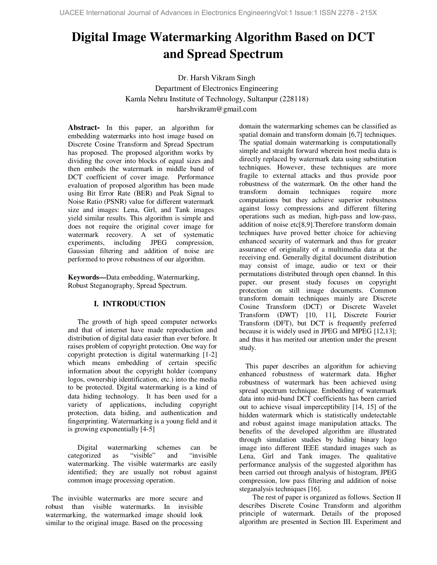# **Digital Image Watermarking Algorithm Based on DCT and Spread Spectrum**

Dr. Harsh Vikram Singh Department of Electronics Engineering Kamla Nehru Institute of Technology, Sultanpur (228118) harshvikram@gmail.com

**Abstract-** In this paper, an algorithm for embedding watermarks into host image based on Discrete Cosine Transform and Spread Spectrum has proposed. The proposed algorithm works by dividing the cover into blocks of equal sizes and then embeds the watermark in middle band of DCT coefficient of cover image. Performance evaluation of proposed algorithm has been made using Bit Error Rate (BER) and Peak Signal to Noise Ratio (PSNR) value for different watermark size and images: Lena, Girl, and Tank images yield similar results. This algorithm is simple and does not require the original cover image for watermark recovery. A set of systematic experiments, including JPEG compression, Gaussian filtering and addition of noise are performed to prove robustness of our algorithm.

**Keywords—**Data embedding, Watermarking, Robust Steganography, Spread Spectrum.

# **I. INTRODUCTION**

The growth of high speed computer networks and that of internet have made reproduction and distribution of digital data easier than ever before. It raises problem of copyright protection. One way for copyright protection is digital watermarking [1-2] which means embedding of certain specific information about the copyright holder (company logos, ownership identification, etc.) into the media to be protected. Digital watermarking is a kind of data hiding technology. It has been used for a variety of applications, including copyright protection, data hiding, and authentication and fingerprinting. Watermarking is a young field and it is growing exponentially [4-5]

Digital watermarking schemes can be egorized as "visible" and "invisible" categorized as "visible" and watermarking. The visible watermarks are easily identified; they are usually not robust against common image processing operation.

The invisible watermarks are more secure and robust than visible watermarks. In invisible watermarking, the watermarked image should look similar to the original image. Based on the processing domain the watermarking schemes can be classified as spatial domain and transform domain [6,7] techniques. The spatial domain watermarking is computationally simple and straight forward wherein host media data is directly replaced by watermark data using substitution techniques. However, these techniques are more fragile to external attacks and thus provide poor robustness of the watermark. On the other hand the transform domain techniques require more computations but they achieve superior robustness against lossy compressions and different filtering operations such as median, high-pass and low-pass, addition of noise etc[8,9].Therefore transform domain techniques have proved better choice for achieving enhanced security of watermark and thus for greater assurance of originality of a multimedia data at the receiving end. Generally digital document distribution may consist of image, audio or text or their permutations distributed through open channel. In this paper, our present study focuses on copyright protection on still image documents. Common transform domain techniques mainly are Discrete Cosine Transform (DCT) or Discrete Wavelet Transform (DWT) [10, 11], Discrete Fourier Transform (DFT), but DCT is frequently preferred because it is widely used in JPEG and MPEG [12,13]; and thus it has merited our attention under the present study.

This paper describes an algorithm for achieving enhanced robustness of watermark data. Higher robustness of watermark has been achieved using spread spectrum technique. Embedding of watermark data into mid-band DCT coefficients has been carried out to achieve visual imperceptibility [14, 15] of the hidden watermark which is statistically undetectable and robust against image manipulation attacks. The benefits of the developed algorithm are illustrated through simulation studies by hiding binary logo image into different IEEE standard images such as Lena, Girl and Tank images. The qualitative performance analysis of the suggested algorithm has been carried out through analysis of histogram, JPEG compression, low pass filtering and addition of noise steganalysis techniques [16].

 The rest of paper is organized as follows. Section II describes Discrete Cosine Transform and algorithm principle of watermark. Details of the proposed algorithm are presented in Section III. Experiment and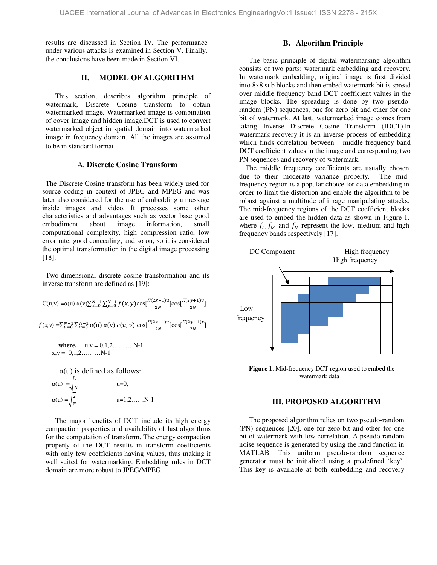results are discussed in Section IV. The performance under various attacks is examined in Section V. Finally, the conclusions have been made in Section VI.

## **II. MODEL OF ALGORITHM**

This section, describes algorithm principle of watermark, Discrete Cosine transform to obtain watermarked image. Watermarked image is combination of cover image and hidden image.DCT is used to convert watermarked object in spatial domain into watermarked image in frequency domain. All the images are assumed to be in standard format.

### A. **Discrete Cosine Transform**

The Discrete Cosine transform has been widely used for source coding in context of JPEG and MPEG and was later also considered for the use of embedding a message inside images and video. It processes some other characteristics and advantages such as vector base good embodiment about image information, small computational complexity, high compression ratio, low error rate, good concealing, and so on, so it is considered the optimal transformation in the digital image processing [18].

Two-dimensional discrete cosine transformation and its inverse transform are defined as [19]:

$$
C(u,v) = \alpha(u) \alpha(v) \sum_{x=0}^{N-1} \sum_{y=0}^{N-1} f(x,y) \cos[\frac{\pi(2x+1)u}{2N}] \cos[\frac{\pi(2y+1)v}{2N}]
$$
  

$$
f(x,y) = \sum_{u=0}^{N-1} \sum_{v=0}^{N-1} \alpha(u) \alpha(v) c(u,v) \cos[\frac{\pi(2x+1)u}{2N}] \cos[\frac{\pi(2y+1)v}{2N}]
$$

where, 
$$
u, v = 0, 1, 2, \ldots, N-1
$$
  
x,y = 0,1,2, \ldots, N-1

α(u) is defined as follows:  $\alpha(u) = \sqrt{\frac{1}{N}}$  $u=0$ ;  $\alpha(u) = \frac{2}{\sqrt{N}}$ N u=1,2……N-1

The major benefits of DCT include its high energy compaction properties and availability of fast algorithms for the computation of transform. The energy compaction property of the DCT results in transform coefficients with only few coefficients having values, thus making it well suited for watermarking. Embedding rules in DCT domain are more robust to JPEG/MPEG.

## **B. Algorithm Principle**

The basic principle of digital watermarking algorithm consists of two parts: watermark embedding and recovery. In watermark embedding, original image is first divided into 8x8 sub blocks and then embed watermark bit is spread over middle frequency band DCT coefficient values in the image blocks. The spreading is done by two pseudorandom (PN) sequences, one for zero bit and other for one bit of watermark. At last, watermarked image comes from taking Inverse Discrete Cosine Transform (IDCT).In watermark recovery it is an inverse process of embedding which finds correlation between middle frequency band DCT coefficient values in the image and corresponding two PN sequences and recovery of watermark.

The middle frequency coefficients are usually chosen due to their moderate variance property. The midfrequency region is a popular choice for data embedding in order to limit the distortion and enable the algorithm to be robust against a multitude of image manipulating attacks. The mid-frequency regions of the DCT coefficient blocks are used to embed the hidden data as shown in Figure-1, where  $f_L$ ,  $f_M$  and  $f_H$  represent the low, medium and high frequency bands respectively [17].



**Figure 1**: Mid-frequency DCT region used to embed the watermark data

## **III. PROPOSED ALGORITHM**

The proposed algorithm relies on two pseudo-random (PN) sequences [20], one for zero bit and other for one bit of watermark with low correlation. A pseudo-random noise sequence is generated by using the rand function in MATLAB. This uniform pseudo-random sequence generator must be initialized using a predefined 'key'. This key is available at both embedding and recovery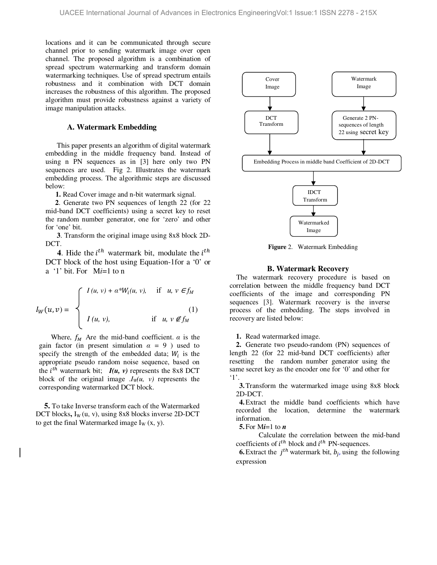locations and it can be communicated through secure channel prior to sending watermark image over open channel. The proposed algorithm is a combination of spread spectrum watermarking and transform domain watermarking techniques. Use of spread spectrum entails robustness and it combination with DCT domain increases the robustness of this algorithm. The proposed algorithm must provide robustness against a variety of image manipulation attacks.

#### **A. Watermark Embedding**

This paper presents an algorithm of digital watermark embedding in the middle frequency band. Instead of using n PN sequences as in [3] here only two PN sequences are used. Fig 2. Illustrates the watermark embedding process. The algorithmic steps are discussed below:

**1.** Read Cover image and n-bit watermark signal.

**2**. Generate two PN sequences of length 22 (for 22 mid-band DCT coefficients) using a secret key to reset the random number generator, one for 'zero' and other for 'one' bit.

**3**. Transform the original image using 8x8 block 2D-DCT.

**4**. Hide the  $i^{th}$  watermark bit, modulate the  $i^{th}$ DCT block of the host using Equation-1for a '0' or a '1' bit. For M*i*=1 to n

$$
I_W(u,v) = \begin{cases} I(u,v) + \alpha^* W_i(u,v), & \text{if } u, v \in f_M \\ I(u,v), & \text{if } u, v \notin f_M \end{cases}
$$
 (1)

Where,  $f_M$  Are the mid-band coefficient.  $\alpha$  is the gain factor (in present simulation  $\alpha = 9$ ) used to specify the strength of the embedded data;  $W_i$  is the appropriate pseudo random noise sequence, based on the  $i^{th}$  watermark bit;  $I(u, v)$  represents the 8x8 DCT block of the original image  $J_w(u, v)$  represents the corresponding watermarked DCT block.

**5.** To take Inverse transform each of the Watermarked DCT blocks,  $I_W(u, v)$ , using 8x8 blocks inverse 2D-DCT to get the final Watermarked image  $I_W(x, y)$ .



**Figure** 2. Watermark Embedding

#### **B. Watermark Recovery**

The watermark recovery procedure is based on correlation between the middle frequency band DCT coefficients of the image and corresponding PN sequences [3]. Watermark recovery is the inverse process of the embedding. The steps involved in recovery are listed below:

**1.** Read watermarked image.

**2.** Generate two pseudo-random (PN) sequences of length 22 (for 22 mid-band DCT coefficients) after resetting the random number generator using the same secret key as the encoder one for '0' and other for '1'.

**3.**Transform the watermarked image using 8x8 block 2D-DCT.

**4.**Extract the middle band coefficients which have recorded the location, determine the watermark information.

**5.**For M*i*=1 to *n*

 Calculate the correlation between the mid-band coefficients of  $i^{th}$  block and  $i^{th}$  PN-sequences.

**6.** Extract the  $j^{th}$  watermark bit,  $b_j$ , using the following expression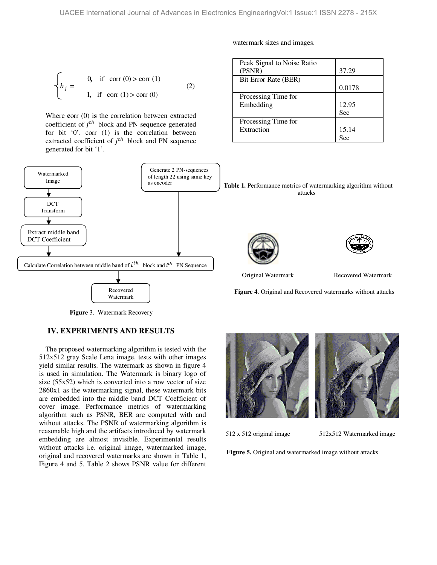## watermark sizes and images.

| Peak Signal to Noise Ratio |              |
|----------------------------|--------------|
| (PSNR)                     | 37.29        |
| Bit Error Rate (BER)       |              |
|                            | 0.0178       |
| Processing Time for        |              |
| Embedding                  | 12.95        |
|                            | Sec          |
| Processing Time for        |              |
| Extraction                 | 15.14        |
|                            | $S_{\rm PC}$ |

**Table 1.** Performance metrics of watermarking algorithm without attacks





Original Watermark Recovered Watermark

 **Figure 4**. Original and Recovered watermarks without attacks

**Figure** 3. Watermark Recovery

Calculate Correlation between middle band of  $i^{th}$  block and  $i^{th}$  PN Sequence

Recovered Watermark

0, if  $corr(0) > corr(1)$  $\left\{ b_j = (2) \right\}$ 

Where **c**orr (0) i**s** the correlation between extracted coefficient of  $j<sup>th</sup>$  block and PN sequence generated for bit '0'. corr (1) is the correlation between extracted coefficient of  $j<sup>th</sup>$  block and PN sequence

> Generate 2 PN-sequences of length 22 using same key

as encoder

1, if corr  $(1) > \text{corr}(0)$ 

generated for bit '1'.

Watermarked Image

DCT Transform

Extract middle band DCT Coefficient

## **IV. EXPERIMENTS AND RESULTS**

The proposed watermarking algorithm is tested with the 512x512 gray Scale Lena image, tests with other images yield similar results. The watermark as shown in figure 4 is used in simulation. The Watermark is binary logo of size (55x52) which is converted into a row vector of size 2860x1 as the watermarking signal, these watermark bits are embedded into the middle band DCT Coefficient of cover image. Performance metrics of watermarking algorithm such as PSNR, BER are computed with and without attacks. The PSNR of watermarking algorithm is reasonable high and the artifacts introduced by watermark embedding are almost invisible. Experimental results without attacks i.e. original image, watermarked image, original and recovered watermarks are shown in Table 1, Figure 4 and 5. Table 2 shows PSNR value for different





512 x 512 original image512x512 Watermarked image

 **Figure 5.** Original and watermarked image without attacks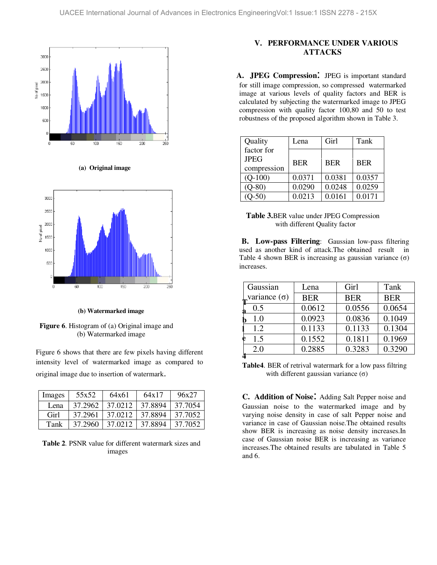

 **(a) Original image** 



#### **(b) Watermarked image**

**Figure 6**. Histogram of (a) Original image and (b) Watermarked image

Figure 6 shows that there are few pixels having different intensity level of watermarked image as compared to original image due to insertion of watermark.

| Images | 55x52   | 64x61   | 64x17   | 96x27   |
|--------|---------|---------|---------|---------|
| Lena   | 37.2962 | 37.0212 | 37.8894 | 37.7054 |
| Girl   | 37.2961 | 37.0212 | 37.8894 | 37.7052 |
| Tank   | 37 2960 | 37.0212 | 37.8894 | 37 7052 |

 **Table 2**. PSNR value for different watermark sizes and images

# **V. PERFORMANCE UNDER VARIOUS ATTACKS**

 **A. JPEG Compression**: JPEG is important standard for still image compression, so compressed watermarked image at various levels of quality factors and BER is calculated by subjecting the watermarked image to JPEG compression with quality factor 100,80 and 50 to test robustness of the proposed algorithm shown in Table 3.

| Quality     | Lena       | Girl       | Tank       |
|-------------|------------|------------|------------|
| factor for  |            |            |            |
| <b>JPEG</b> | <b>BER</b> | <b>BER</b> | <b>BER</b> |
| compression |            |            |            |
| $(O-100)$   | 0.0371     | 0.0381     | 0.0357     |
| $(O-80)$    | 0.0290     | 0.0248     | 0.0259     |
| $(O-50)$    | 0.0213     | 0.0161     | 0.0171     |

**Table 3.**BER value under JPEG Compression with different Quality factor

 **B. Low-pass Filtering**: Gaussian low-pass filtering used as another kind of attack.The obtained result in Table 4 shown BER is increasing as gaussian variance  $(\sigma)$ increases.

| Gaussian            | Lena       | Girl       | Tank       |
|---------------------|------------|------------|------------|
| wariance $(\sigma)$ | <b>BER</b> | <b>BER</b> | <b>BER</b> |
| 0.5                 | 0.0612     | 0.0556     | 0.0654     |
| 1.0                 | 0.0923     | 0.0836     | 0.1049     |
| 1.2                 | 0.1133     | 0.1133     | 0.1304     |
| 1.5                 | 0.1552     | 0.1811     | 0.1969     |
| 2.0                 | 0.2885     | 0.3283     | 0.3290     |
|                     |            |            |            |

**Table4**. BER of retrival watermark for a low pass filtring with different gaussian variance  $(\sigma)$ 

**C. Addition of Noise**: Adding Salt Pepper noise and Gaussian noise to the watermarked image and by varying noise density in case of salt Pepper noise and variance in case of Gaussian noise.The obtained results show BER is increasing as noise density increases.In case of Gaussian noise BER is increasing as variance increases.The obtained results are tabulated in Table 5 and 6.